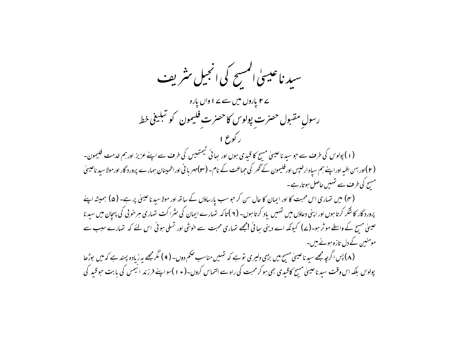سید ناعیسیٰ المسح کی انجیل مثریف ے ۲ یاروں میں سے ۷ ا وال یارہ رسول مقبول حصرت بولوس کاحصرت فلیمون کو تبلیغی خط ر کوع ۱ (۱) پولوس کی طرف سے حو سید ناعیسیٰ مسح کا قیدی ہوں اور بھائی لیمتھیس کی طرف سے اپنے عزیز اور ہم خدمت فلیمون۔ ( ۲ )اور بہن افسے اوراپنے ہم سیاہ ارخیبں اورفلیمون کے گھر کی حماعت کے نام۔ (۳)مهر یا نی اوراطمینان ہمارے پرورد گار اورمولاسید ناعیسیٰ مسح کی طرف سے تہیں حاصل ہوتارہے۔ (۴) میں تہاری اس محبت کا اور ایمان کا حال سن کر حبو سب پارساؤں کے ساتھ اور مولا سید ناعیسیٰ پر ہے۔ (۵) ہمیشہ اپنے پرورد گار کا شکر کرتا ہوں اور اپنی دعاؤں میں تہیں یاد کرتا ہوں۔ ( ۲ )تا کہ تہارے ایمان کی سثراکت تہاری مبر خوبی کی پہچان میں سیدنا عیسیٰ مسح کے واسطے موثر ہو۔(ے) کیونکہ اے دینی سائی امجھے تہاری محبت سے خوشی اور تسلی ہوئی اس لئے کہ تہارے سبب سے مومنین کے دل تازہ ہوئے ہیں۔ (۸) پس اگرچہ مجھے سید ناعیسیٰ مسیح میں بڑی دلپری نوہے کہ تہیں مناسب حکم دوں۔ (۹) مگرمجھے ہہ زیادہ پسند ہے کہ میں بوڑھا پولوس بلکہ اس وقت سید ناعیسیٰ مسح کاقیدی بھی ہو کر محبت کی راہ سے التماس کروں۔( • ۱ )سواپنے فرزند انیمس کی بابت حوقید کی